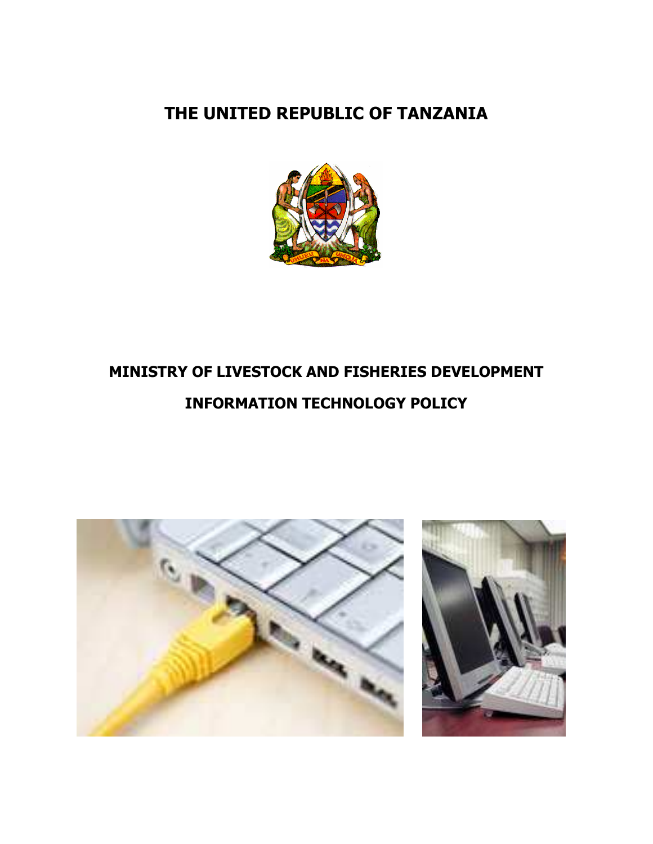## THE UNITED REPUBLIC OF TANZANIA



# MINISTRY OF LIVESTOCK AND FISHERIES DEVELOPMENT INFORMATION TECHNOLOGY POLICY

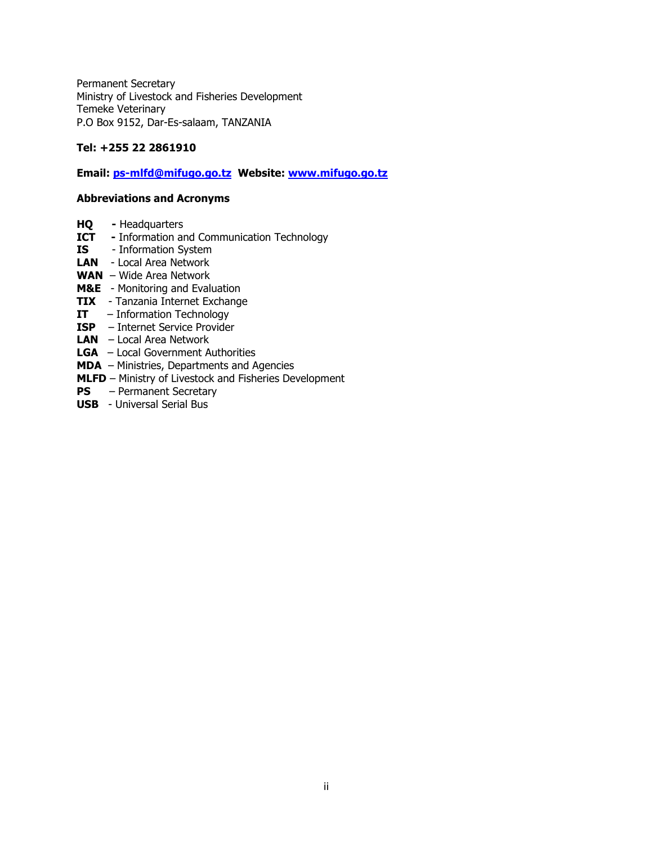Permanent Secretary Ministry of Livestock and Fisheries Development Temeke Veterinary P.O Box 9152, Dar-Es-salaam, TANZANIA

#### Tel: +255 22 2861910

#### Email: ps-mlfd@mifugo.go.tz Website: www.mifugo.go.tz

#### Abbreviations and Acronyms

- **HQ** Headquarters<br>**ICT** Information are
- **ICT** Information and Communication Technology<br>**IS** Information System
- Information System
- LAN Local Area Network
- WAN Wide Area Network
- M&E Monitoring and Evaluation
- **TIX** Tanzania Internet Exchange
- IT Information Technology
- ISP Internet Service Provider
- **LAN**  $-$  Local Area Network
- LGA Local Government Authorities
- MDA Ministries, Departments and Agencies
- MLFD Ministry of Livestock and Fisheries Development
- PS Permanent Secretary
- USB Universal Serial Bus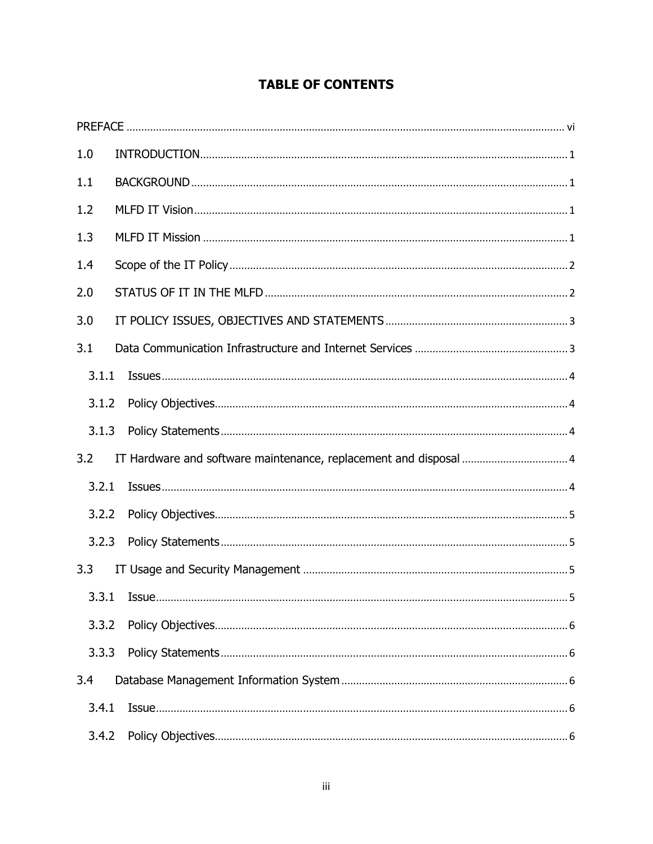### **TABLE OF CONTENTS**

| 1.0   |                                                                                                                                                                                                                                                                                                                                                                           |  |
|-------|---------------------------------------------------------------------------------------------------------------------------------------------------------------------------------------------------------------------------------------------------------------------------------------------------------------------------------------------------------------------------|--|
| 1.1   |                                                                                                                                                                                                                                                                                                                                                                           |  |
| 1.2   |                                                                                                                                                                                                                                                                                                                                                                           |  |
| 1.3   |                                                                                                                                                                                                                                                                                                                                                                           |  |
| 1.4   |                                                                                                                                                                                                                                                                                                                                                                           |  |
| 2.0   |                                                                                                                                                                                                                                                                                                                                                                           |  |
| 3.0   |                                                                                                                                                                                                                                                                                                                                                                           |  |
| 3.1   |                                                                                                                                                                                                                                                                                                                                                                           |  |
| 3.1.1 |                                                                                                                                                                                                                                                                                                                                                                           |  |
| 3.1.2 |                                                                                                                                                                                                                                                                                                                                                                           |  |
| 3.1.3 |                                                                                                                                                                                                                                                                                                                                                                           |  |
| 3.2   |                                                                                                                                                                                                                                                                                                                                                                           |  |
| 3.2.1 | $\hspace*{2.5mm} \textbf{ISULES}.\hspace*{3.2mm} \textbf{}.\hspace*{3.2mm} \textbf{}.\hspace*{3.2mm} \textbf{}.\hspace*{3.2mm} \textbf{}.\hspace*{3.2mm} \textbf{}.\hspace*{3.2mm} \textbf{}.\hspace*{3.2mm} \textbf{}.\hspace*{3.2mm} \textbf{}.\hspace*{3.2mm} \textbf{}.\hspace*{3.2mm} \textbf{}.\hspace*{3.2mm} \textbf{}.\hspace*{3.2mm} \textbf{}.\hspace*{3.2mm}$ |  |
| 3.2.2 |                                                                                                                                                                                                                                                                                                                                                                           |  |
| 3.2.3 |                                                                                                                                                                                                                                                                                                                                                                           |  |
| 3.3   |                                                                                                                                                                                                                                                                                                                                                                           |  |
|       | 3.3.1 Issue                                                                                                                                                                                                                                                                                                                                                               |  |
| 3.3.2 |                                                                                                                                                                                                                                                                                                                                                                           |  |
| 3.3.3 |                                                                                                                                                                                                                                                                                                                                                                           |  |
| 3.4   |                                                                                                                                                                                                                                                                                                                                                                           |  |
| 3.4.1 |                                                                                                                                                                                                                                                                                                                                                                           |  |
| 3.4.2 |                                                                                                                                                                                                                                                                                                                                                                           |  |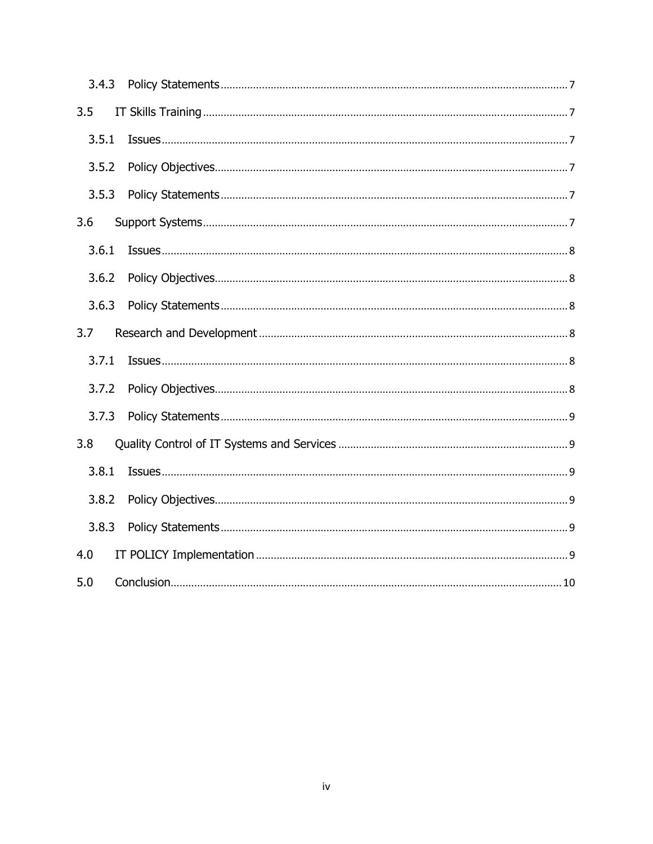| 3.5   |                                                                                                                                                                                                                                                                                                                                                                                       |
|-------|---------------------------------------------------------------------------------------------------------------------------------------------------------------------------------------------------------------------------------------------------------------------------------------------------------------------------------------------------------------------------------------|
| 3.5.1 |                                                                                                                                                                                                                                                                                                                                                                                       |
| 3.5.2 |                                                                                                                                                                                                                                                                                                                                                                                       |
| 3.5.3 |                                                                                                                                                                                                                                                                                                                                                                                       |
| 3.6   |                                                                                                                                                                                                                                                                                                                                                                                       |
| 3.6.1 |                                                                                                                                                                                                                                                                                                                                                                                       |
| 3.6.2 |                                                                                                                                                                                                                                                                                                                                                                                       |
| 3.6.3 |                                                                                                                                                                                                                                                                                                                                                                                       |
| 3.7   |                                                                                                                                                                                                                                                                                                                                                                                       |
| 3.7.1 | $\textit{ISSUES} \textit{} \textit{} \textit{} \textit{} \textit{} \textit{} \textit{} \textit{} \textit{} \textit{} \textit{} \textit{} \textit{} \textit{} \textit{} \textit{} \textit{} \textit{} \textit{} \textit{} \textit{} \textit{} \textit{} \textit{} \textit{} \textit{} \textit{} \textit{} \textit{} \textit{} \textit{} \textit{} \textit{} \textit{} \textit{} \text$ |
| 3.7.2 |                                                                                                                                                                                                                                                                                                                                                                                       |
| 3.7.3 |                                                                                                                                                                                                                                                                                                                                                                                       |
| 3.8   |                                                                                                                                                                                                                                                                                                                                                                                       |
| 3.8.1 |                                                                                                                                                                                                                                                                                                                                                                                       |
| 3.8.2 |                                                                                                                                                                                                                                                                                                                                                                                       |
| 3.8.3 |                                                                                                                                                                                                                                                                                                                                                                                       |
| 4.0   |                                                                                                                                                                                                                                                                                                                                                                                       |
| 5.0   |                                                                                                                                                                                                                                                                                                                                                                                       |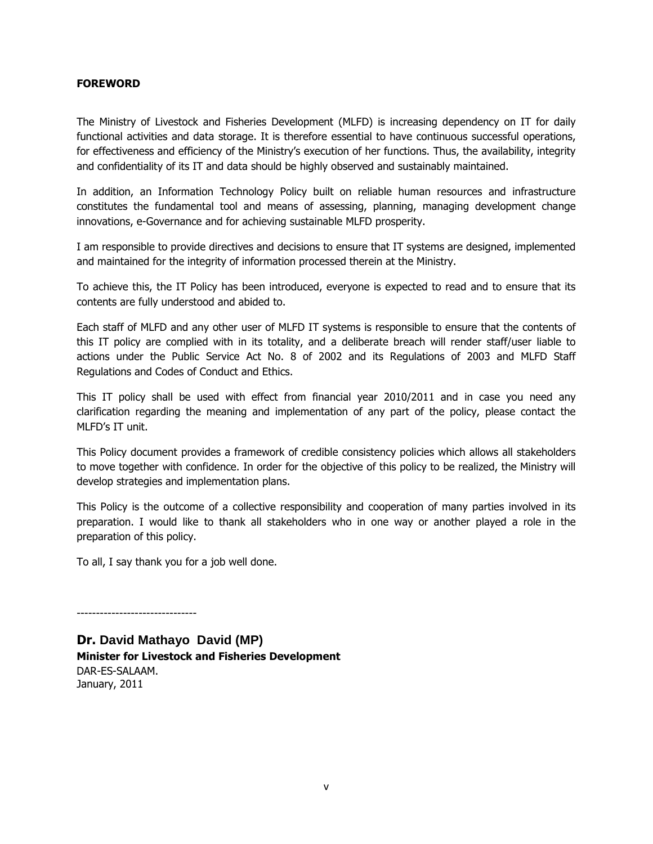#### FOREWORD

The Ministry of Livestock and Fisheries Development (MLFD) is increasing dependency on IT for daily functional activities and data storage. It is therefore essential to have continuous successful operations, for effectiveness and efficiency of the Ministry's execution of her functions. Thus, the availability, integrity and confidentiality of its IT and data should be highly observed and sustainably maintained.

In addition, an Information Technology Policy built on reliable human resources and infrastructure constitutes the fundamental tool and means of assessing, planning, managing development change innovations, e-Governance and for achieving sustainable MLFD prosperity.

I am responsible to provide directives and decisions to ensure that IT systems are designed, implemented and maintained for the integrity of information processed therein at the Ministry.

To achieve this, the IT Policy has been introduced, everyone is expected to read and to ensure that its contents are fully understood and abided to.

Each staff of MLFD and any other user of MLFD IT systems is responsible to ensure that the contents of this IT policy are complied with in its totality, and a deliberate breach will render staff/user liable to actions under the Public Service Act No. 8 of 2002 and its Regulations of 2003 and MLFD Staff Regulations and Codes of Conduct and Ethics.

This IT policy shall be used with effect from financial year 2010/2011 and in case you need any clarification regarding the meaning and implementation of any part of the policy, please contact the MLFD's IT unit.

This Policy document provides a framework of credible consistency policies which allows all stakeholders to move together with confidence. In order for the objective of this policy to be realized, the Ministry will develop strategies and implementation plans.

This Policy is the outcome of a collective responsibility and cooperation of many parties involved in its preparation. I would like to thank all stakeholders who in one way or another played a role in the preparation of this policy.

To all, I say thank you for a job well done.

-------------------------------

Dr. **David Mathayo David (MP)**  Minister for Livestock and Fisheries Development DAR-ES-SALAAM. January, 2011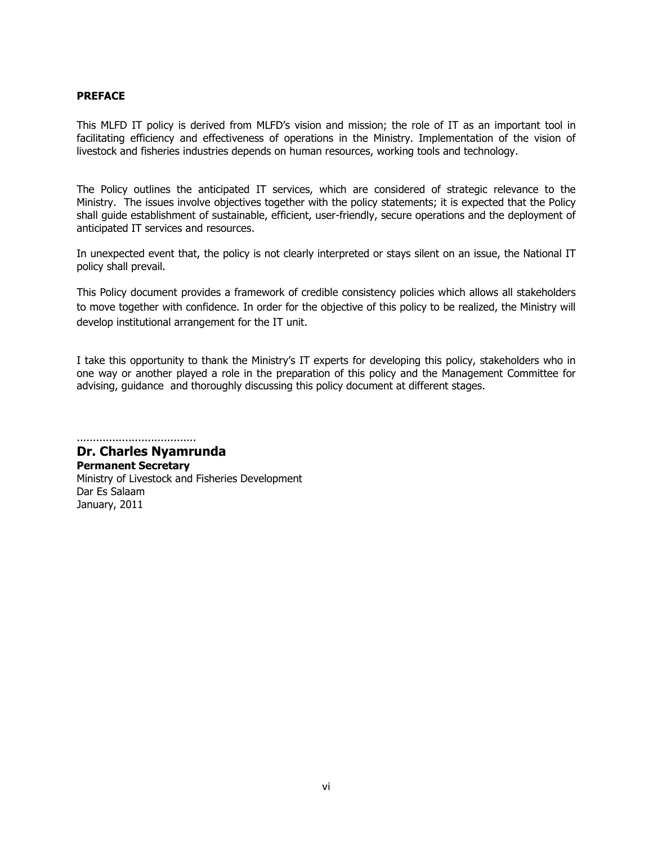#### PREFACE

This MLFD IT policy is derived from MLFD's vision and mission; the role of IT as an important tool in facilitating efficiency and effectiveness of operations in the Ministry. Implementation of the vision of livestock and fisheries industries depends on human resources, working tools and technology.

The Policy outlines the anticipated IT services, which are considered of strategic relevance to the Ministry. The issues involve objectives together with the policy statements; it is expected that the Policy shall guide establishment of sustainable, efficient, user-friendly, secure operations and the deployment of anticipated IT services and resources.

In unexpected event that, the policy is not clearly interpreted or stays silent on an issue, the National IT policy shall prevail.

This Policy document provides a framework of credible consistency policies which allows all stakeholders to move together with confidence. In order for the objective of this policy to be realized, the Ministry will develop institutional arrangement for the IT unit.

I take this opportunity to thank the Ministry's IT experts for developing this policy, stakeholders who in one way or another played a role in the preparation of this policy and the Management Committee for advising, guidance and thoroughly discussing this policy document at different stages.

..................................... Dr. Charles Nyamrunda

Permanent Secretary Ministry of Livestock and Fisheries Development Dar Es Salaam January, 2011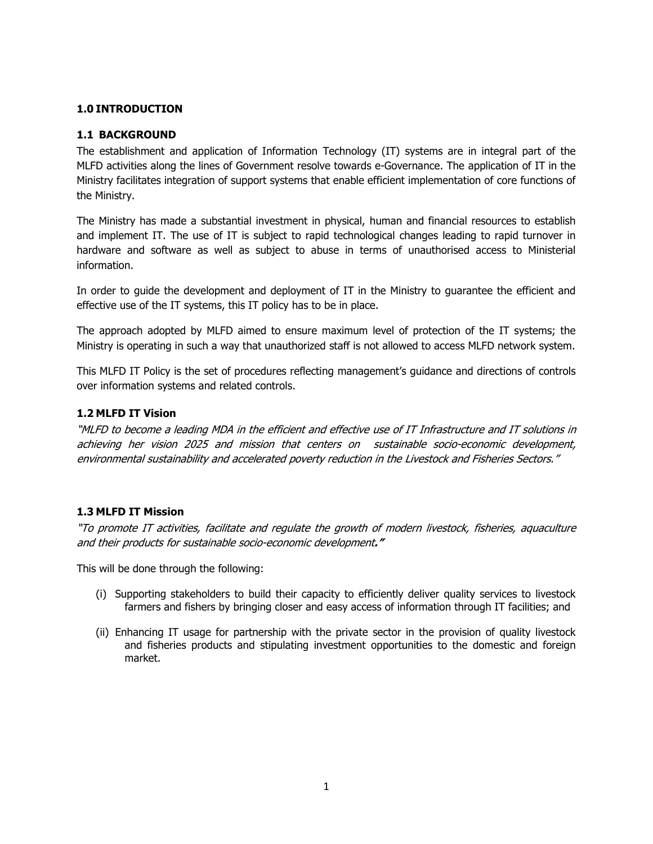#### 1.0 INTRODUCTION

#### 1.1 BACKGROUND

The establishment and application of Information Technology (IT) systems are in integral part of the MLFD activities along the lines of Government resolve towards e-Governance. The application of IT in the Ministry facilitates integration of support systems that enable efficient implementation of core functions of the Ministry.

The Ministry has made a substantial investment in physical, human and financial resources to establish and implement IT. The use of IT is subject to rapid technological changes leading to rapid turnover in hardware and software as well as subject to abuse in terms of unauthorised access to Ministerial information.

In order to guide the development and deployment of IT in the Ministry to guarantee the efficient and effective use of the IT systems, this IT policy has to be in place.

The approach adopted by MLFD aimed to ensure maximum level of protection of the IT systems; the Ministry is operating in such a way that unauthorized staff is not allowed to access MLFD network system.

This MLFD IT Policy is the set of procedures reflecting management's guidance and directions of controls over information systems and related controls.

#### 1.2 MLFD IT Vision

"MLFD to become a leading MDA in the efficient and effective use of IT Infrastructure and IT solutions in achieving her vision 2025 and mission that centers on sustainable socio-economic development, environmental sustainability and accelerated poverty reduction in the Livestock and Fisheries Sectors."

#### 1.3 MLFD IT Mission

"To promote IT activities, facilitate and regulate the growth of modern livestock, fisheries, aquaculture and their products for sustainable socio-economic development."

This will be done through the following:

- (i) Supporting stakeholders to build their capacity to efficiently deliver quality services to livestock farmers and fishers by bringing closer and easy access of information through IT facilities; and
- (ii) Enhancing IT usage for partnership with the private sector in the provision of quality livestock and fisheries products and stipulating investment opportunities to the domestic and foreign market.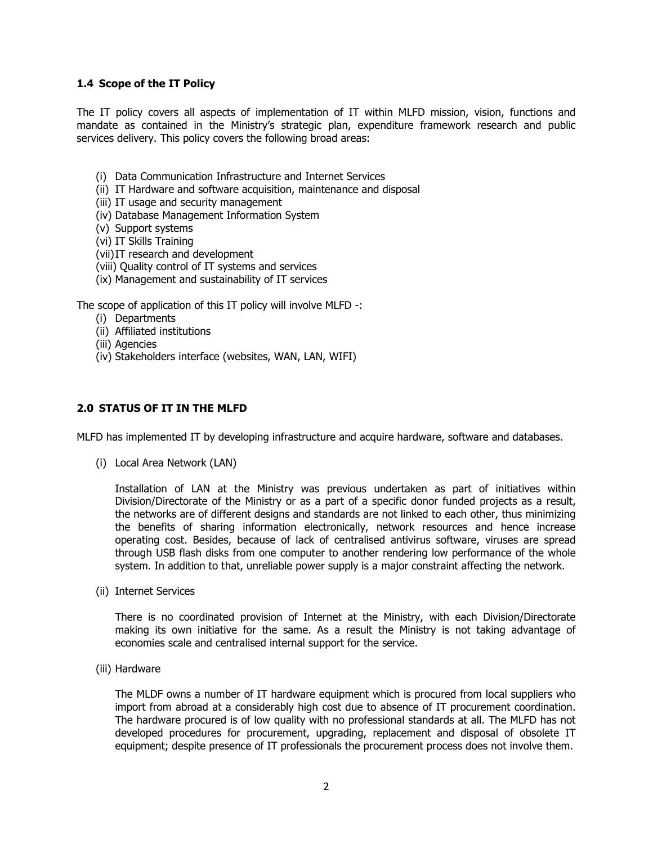#### 1.4 Scope of the IT Policy

The IT policy covers all aspects of implementation of IT within MLFD mission, vision, functions and mandate as contained in the Ministry's strategic plan, expenditure framework research and public services delivery. This policy covers the following broad areas:

- (i) Data Communication Infrastructure and Internet Services
- (ii) IT Hardware and software acquisition, maintenance and disposal
- (iii) IT usage and security management
- (iv) Database Management Information System
- (v) Support systems
- (vi) IT Skills Training
- (vii)IT research and development
- (viii) Quality control of IT systems and services
- (ix) Management and sustainability of IT services

The scope of application of this IT policy will involve MLFD -:

- (i) Departments
- (ii) Affiliated institutions
- (iii) Agencies
- (iv) Stakeholders interface (websites, WAN, LAN, WIFI)

#### 2.0 STATUS OF IT IN THE MLFD

MLFD has implemented IT by developing infrastructure and acquire hardware, software and databases.

(i) Local Area Network (LAN)

Installation of LAN at the Ministry was previous undertaken as part of initiatives within Division/Directorate of the Ministry or as a part of a specific donor funded projects as a result, the networks are of different designs and standards are not linked to each other, thus minimizing the benefits of sharing information electronically, network resources and hence increase operating cost. Besides, because of lack of centralised antivirus software, viruses are spread through USB flash disks from one computer to another rendering low performance of the whole system. In addition to that, unreliable power supply is a major constraint affecting the network.

(ii) Internet Services

There is no coordinated provision of Internet at the Ministry, with each Division/Directorate making its own initiative for the same. As a result the Ministry is not taking advantage of economies scale and centralised internal support for the service.

(iii) Hardware

The MLDF owns a number of IT hardware equipment which is procured from local suppliers who import from abroad at a considerably high cost due to absence of IT procurement coordination. The hardware procured is of low quality with no professional standards at all. The MLFD has not developed procedures for procurement, upgrading, replacement and disposal of obsolete IT equipment; despite presence of IT professionals the procurement process does not involve them.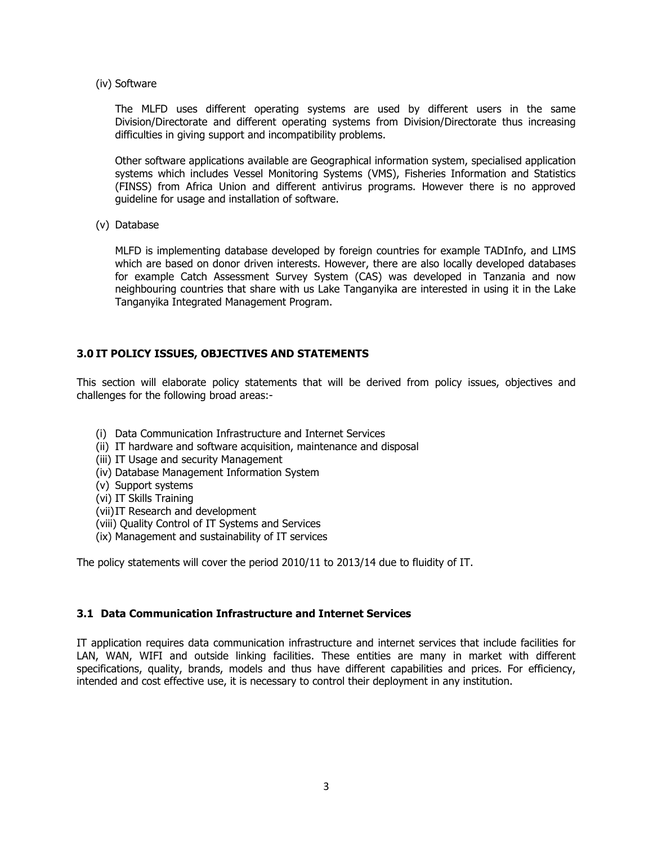(iv) Software

The MLFD uses different operating systems are used by different users in the same Division/Directorate and different operating systems from Division/Directorate thus increasing difficulties in giving support and incompatibility problems.

Other software applications available are Geographical information system, specialised application systems which includes Vessel Monitoring Systems (VMS), Fisheries Information and Statistics (FINSS) from Africa Union and different antivirus programs. However there is no approved guideline for usage and installation of software.

(v) Database

MLFD is implementing database developed by foreign countries for example TADInfo, and LIMS which are based on donor driven interests. However, there are also locally developed databases for example Catch Assessment Survey System (CAS) was developed in Tanzania and now neighbouring countries that share with us Lake Tanganyika are interested in using it in the Lake Tanganyika Integrated Management Program.

#### 3.0 IT POLICY ISSUES, OBJECTIVES AND STATEMENTS

This section will elaborate policy statements that will be derived from policy issues, objectives and challenges for the following broad areas:-

- (i) Data Communication Infrastructure and Internet Services
- (ii) IT hardware and software acquisition, maintenance and disposal
- (iii) IT Usage and security Management
- (iv) Database Management Information System
- (v) Support systems
- (vi) IT Skills Training
- (vii)IT Research and development
- (viii) Quality Control of IT Systems and Services
- (ix) Management and sustainability of IT services

The policy statements will cover the period 2010/11 to 2013/14 due to fluidity of IT.

#### 3.1 Data Communication Infrastructure and Internet Services

IT application requires data communication infrastructure and internet services that include facilities for LAN, WAN, WIFI and outside linking facilities. These entities are many in market with different specifications, quality, brands, models and thus have different capabilities and prices. For efficiency, intended and cost effective use, it is necessary to control their deployment in any institution.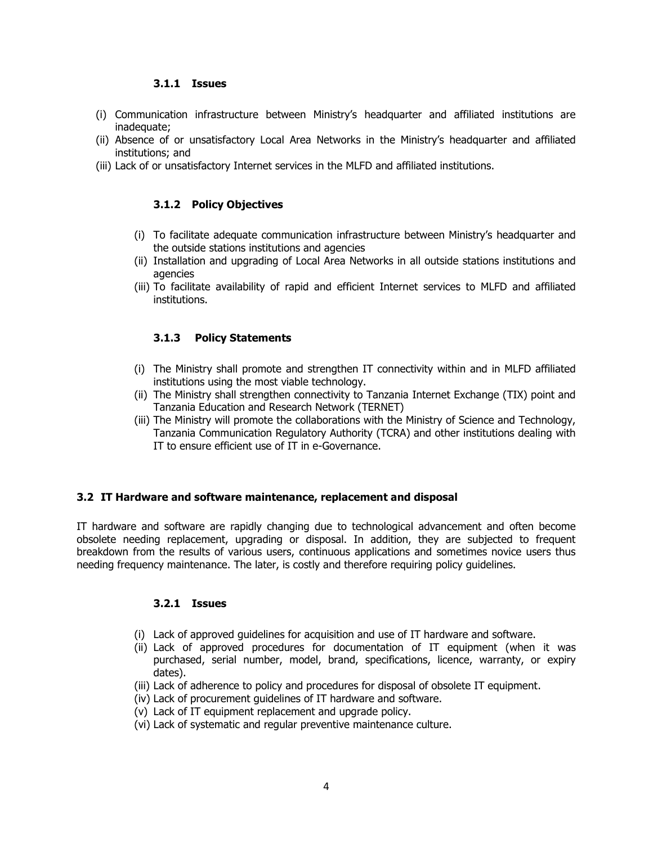#### 3.1.1 Issues

- (i) Communication infrastructure between Ministry's headquarter and affiliated institutions are inadequate;
- (ii) Absence of or unsatisfactory Local Area Networks in the Ministry's headquarter and affiliated institutions; and
- (iii) Lack of or unsatisfactory Internet services in the MLFD and affiliated institutions.

#### 3.1.2 Policy Objectives

- (i) To facilitate adequate communication infrastructure between Ministry's headquarter and the outside stations institutions and agencies
- (ii) Installation and upgrading of Local Area Networks in all outside stations institutions and agencies
- (iii) To facilitate availability of rapid and efficient Internet services to MLFD and affiliated institutions.

#### 3.1.3 Policy Statements

- (i) The Ministry shall promote and strengthen IT connectivity within and in MLFD affiliated institutions using the most viable technology.
- (ii) The Ministry shall strengthen connectivity to Tanzania Internet Exchange (TIX) point and Tanzania Education and Research Network (TERNET)
- (iii) The Ministry will promote the collaborations with the Ministry of Science and Technology, Tanzania Communication Regulatory Authority (TCRA) and other institutions dealing with IT to ensure efficient use of IT in e-Governance.

#### 3.2 IT Hardware and software maintenance, replacement and disposal

IT hardware and software are rapidly changing due to technological advancement and often become obsolete needing replacement, upgrading or disposal. In addition, they are subjected to frequent breakdown from the results of various users, continuous applications and sometimes novice users thus needing frequency maintenance. The later, is costly and therefore requiring policy guidelines.

#### 3.2.1 Issues

- (i) Lack of approved guidelines for acquisition and use of IT hardware and software.
- (ii) Lack of approved procedures for documentation of IT equipment (when it was purchased, serial number, model, brand, specifications, licence, warranty, or expiry dates).
- (iii) Lack of adherence to policy and procedures for disposal of obsolete IT equipment.
- (iv) Lack of procurement guidelines of IT hardware and software.
- (v) Lack of IT equipment replacement and upgrade policy.
- (vi) Lack of systematic and regular preventive maintenance culture.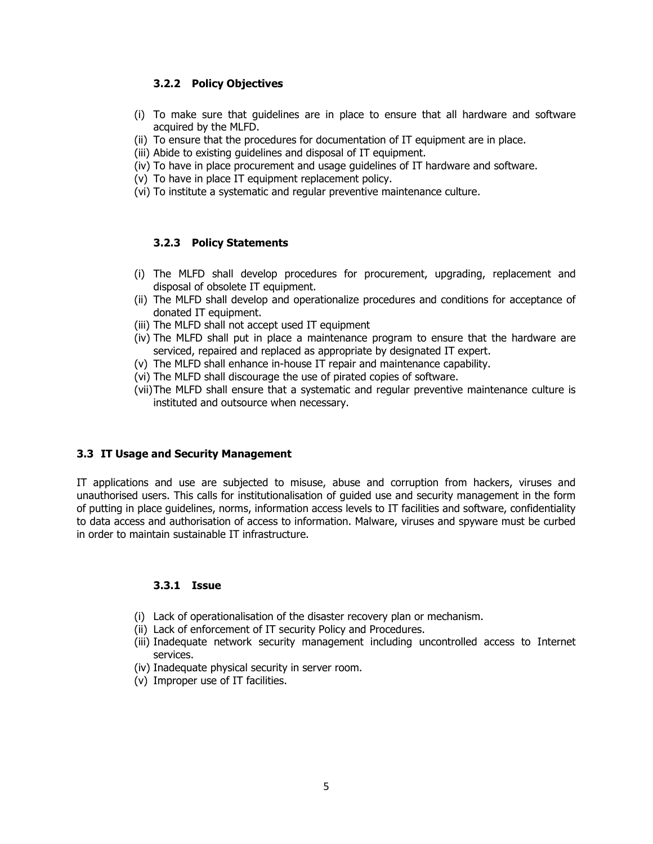#### 3.2.2 Policy Objectives

- (i) To make sure that guidelines are in place to ensure that all hardware and software acquired by the MLFD.
- (ii) To ensure that the procedures for documentation of IT equipment are in place.
- (iii) Abide to existing guidelines and disposal of IT equipment.
- (iv) To have in place procurement and usage guidelines of IT hardware and software.
- (v) To have in place IT equipment replacement policy.
- (vi) To institute a systematic and regular preventive maintenance culture.

#### 3.2.3 Policy Statements

- (i) The MLFD shall develop procedures for procurement, upgrading, replacement and disposal of obsolete IT equipment.
- (ii) The MLFD shall develop and operationalize procedures and conditions for acceptance of donated IT equipment.
- (iii) The MLFD shall not accept used IT equipment
- (iv) The MLFD shall put in place a maintenance program to ensure that the hardware are serviced, repaired and replaced as appropriate by designated IT expert.
- (v) The MLFD shall enhance in-house IT repair and maintenance capability.
- (vi) The MLFD shall discourage the use of pirated copies of software.
- (vii)The MLFD shall ensure that a systematic and regular preventive maintenance culture is instituted and outsource when necessary.

#### 3.3 IT Usage and Security Management

IT applications and use are subjected to misuse, abuse and corruption from hackers, viruses and unauthorised users. This calls for institutionalisation of guided use and security management in the form of putting in place guidelines, norms, information access levels to IT facilities and software, confidentiality to data access and authorisation of access to information. Malware, viruses and spyware must be curbed in order to maintain sustainable IT infrastructure.

#### 3.3.1 Issue

- (i) Lack of operationalisation of the disaster recovery plan or mechanism.
- (ii) Lack of enforcement of IT security Policy and Procedures.
- (iii) Inadequate network security management including uncontrolled access to Internet services.
- (iv) Inadequate physical security in server room.
- (v) Improper use of IT facilities.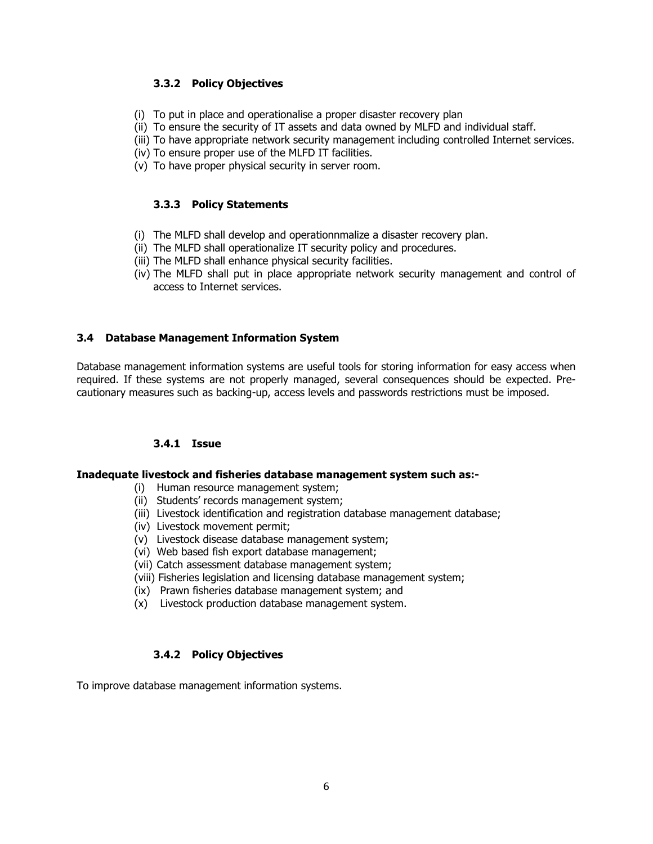#### 3.3.2 Policy Objectives

- (i) To put in place and operationalise a proper disaster recovery plan
- (ii) To ensure the security of IT assets and data owned by MLFD and individual staff.
- (iii) To have appropriate network security management including controlled Internet services.
- (iv) To ensure proper use of the MLFD IT facilities.
- (v) To have proper physical security in server room.

#### 3.3.3 Policy Statements

- (i) The MLFD shall develop and operationnmalize a disaster recovery plan.
- (ii) The MLFD shall operationalize IT security policy and procedures.
- (iii) The MLFD shall enhance physical security facilities.
- (iv) The MLFD shall put in place appropriate network security management and control of access to Internet services.

#### 3.4 Database Management Information System

Database management information systems are useful tools for storing information for easy access when required. If these systems are not properly managed, several consequences should be expected. Precautionary measures such as backing-up, access levels and passwords restrictions must be imposed.

#### 3.4.1 Issue

#### Inadequate livestock and fisheries database management system such as:-

- (i) Human resource management system;
- (ii) Students' records management system;
- (iii) Livestock identification and registration database management database;
- (iv) Livestock movement permit;
- (v) Livestock disease database management system;
- (vi) Web based fish export database management;
- (vii) Catch assessment database management system;
- (viii) Fisheries legislation and licensing database management system;
- (ix) Prawn fisheries database management system; and
- (x) Livestock production database management system.

#### 3.4.2 Policy Objectives

To improve database management information systems.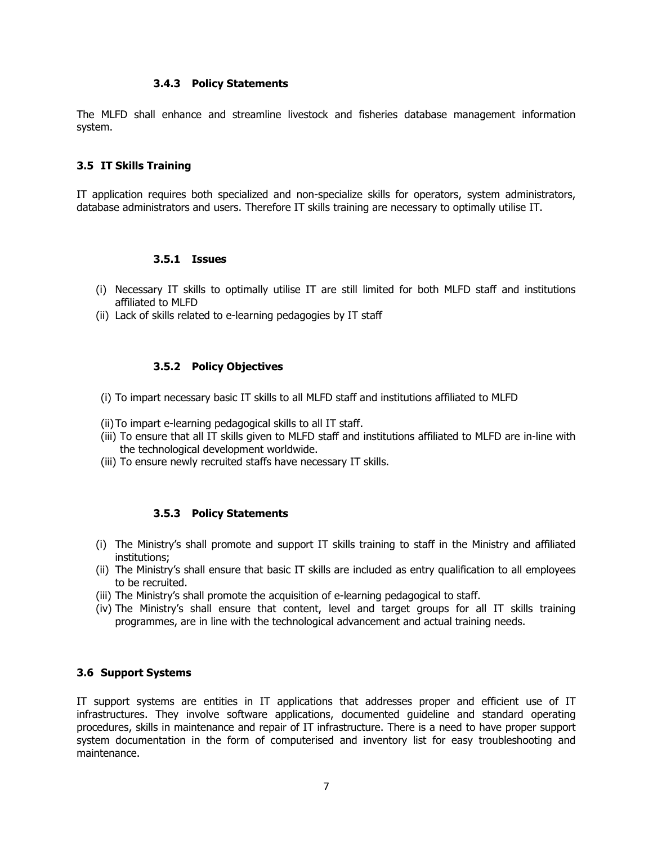#### 3.4.3 Policy Statements

The MLFD shall enhance and streamline livestock and fisheries database management information system.

#### 3.5 IT Skills Training

IT application requires both specialized and non-specialize skills for operators, system administrators, database administrators and users. Therefore IT skills training are necessary to optimally utilise IT.

#### 3.5.1 Issues

- (i) Necessary IT skills to optimally utilise IT are still limited for both MLFD staff and institutions affiliated to MLFD
- (ii) Lack of skills related to e-learning pedagogies by IT staff

#### 3.5.2 Policy Objectives

- (i) To impart necessary basic IT skills to all MLFD staff and institutions affiliated to MLFD
- (ii)To impart e-learning pedagogical skills to all IT staff.
- (iii) To ensure that all IT skills given to MLFD staff and institutions affiliated to MLFD are in-line with the technological development worldwide.
- (iii) To ensure newly recruited staffs have necessary IT skills.

#### 3.5.3 Policy Statements

- (i) The Ministry's shall promote and support IT skills training to staff in the Ministry and affiliated institutions;
- (ii) The Ministry's shall ensure that basic IT skills are included as entry qualification to all employees to be recruited.
- (iii) The Ministry's shall promote the acquisition of e-learning pedagogical to staff.
- (iv) The Ministry's shall ensure that content, level and target groups for all IT skills training programmes, are in line with the technological advancement and actual training needs.

#### 3.6 Support Systems

IT support systems are entities in IT applications that addresses proper and efficient use of IT infrastructures. They involve software applications, documented guideline and standard operating procedures, skills in maintenance and repair of IT infrastructure. There is a need to have proper support system documentation in the form of computerised and inventory list for easy troubleshooting and maintenance.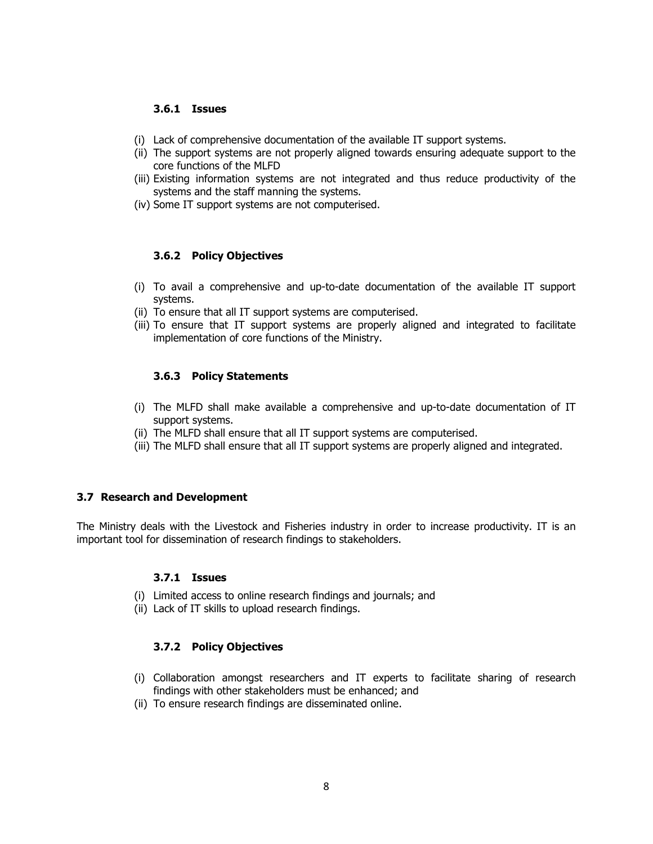#### 3.6.1 Issues

- (i) Lack of comprehensive documentation of the available IT support systems.
- (ii) The support systems are not properly aligned towards ensuring adequate support to the core functions of the MLFD
- (iii) Existing information systems are not integrated and thus reduce productivity of the systems and the staff manning the systems.
- (iv) Some IT support systems are not computerised.

#### 3.6.2 Policy Objectives

- (i) To avail a comprehensive and up-to-date documentation of the available IT support systems.
- (ii) To ensure that all IT support systems are computerised.
- (iii) To ensure that IT support systems are properly aligned and integrated to facilitate implementation of core functions of the Ministry.

#### 3.6.3 Policy Statements

- (i) The MLFD shall make available a comprehensive and up-to-date documentation of IT support systems.
- (ii) The MLFD shall ensure that all IT support systems are computerised.
- (iii) The MLFD shall ensure that all IT support systems are properly aligned and integrated.

#### 3.7 Research and Development

The Ministry deals with the Livestock and Fisheries industry in order to increase productivity. IT is an important tool for dissemination of research findings to stakeholders.

#### 3.7.1 Issues

- (i) Limited access to online research findings and journals; and
- (ii) Lack of IT skills to upload research findings.

#### 3.7.2 Policy Objectives

- (i) Collaboration amongst researchers and IT experts to facilitate sharing of research findings with other stakeholders must be enhanced; and
- (ii) To ensure research findings are disseminated online.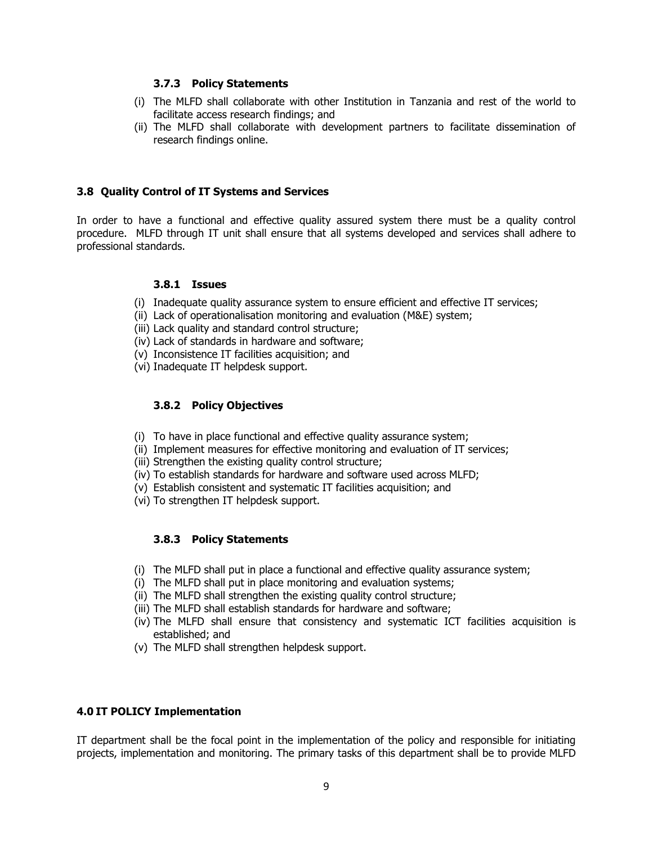#### 3.7.3 Policy Statements

- (i) The MLFD shall collaborate with other Institution in Tanzania and rest of the world to facilitate access research findings; and
- (ii) The MLFD shall collaborate with development partners to facilitate dissemination of research findings online.

#### 3.8 Quality Control of IT Systems and Services

In order to have a functional and effective quality assured system there must be a quality control procedure. MLFD through IT unit shall ensure that all systems developed and services shall adhere to professional standards.

#### 3.8.1 Issues

- (i) Inadequate quality assurance system to ensure efficient and effective IT services;
- (ii) Lack of operationalisation monitoring and evaluation (M&E) system;
- (iii) Lack quality and standard control structure;
- (iv) Lack of standards in hardware and software;
- (v) Inconsistence IT facilities acquisition; and
- (vi) Inadequate IT helpdesk support.

#### 3.8.2 Policy Objectives

- (i) To have in place functional and effective quality assurance system;
- (ii) Implement measures for effective monitoring and evaluation of IT services;
- (iii) Strengthen the existing quality control structure;
- (iv) To establish standards for hardware and software used across MLFD;
- (v) Establish consistent and systematic IT facilities acquisition; and
- (vi) To strengthen IT helpdesk support.

#### 3.8.3 Policy Statements

- (i) The MLFD shall put in place a functional and effective quality assurance system;
- (i) The MLFD shall put in place monitoring and evaluation systems;
- (ii) The MLFD shall strengthen the existing quality control structure;
- (iii) The MLFD shall establish standards for hardware and software;
- (iv) The MLFD shall ensure that consistency and systematic ICT facilities acquisition is established; and
- (v) The MLFD shall strengthen helpdesk support.

#### 4.0 IT POLICY Implementation

IT department shall be the focal point in the implementation of the policy and responsible for initiating projects, implementation and monitoring. The primary tasks of this department shall be to provide MLFD